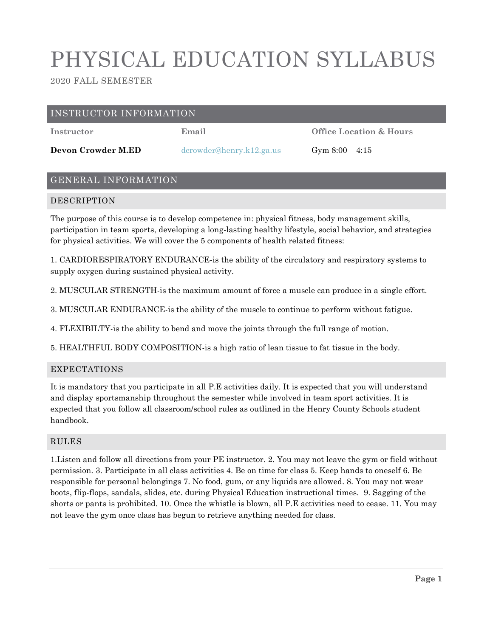# PHYSICAL EDUCATION SYLLABUS

2020 FALL SEMESTER

## INSTRUCTOR INFORMATION

**Devon Crowder M.ED** [dcrowder@henry.k12.ga.us](mailto:dcrowder@henry.k12.ga.us) Gym 8:00 – 4:15

**Instructor Email Office Location & Hours**

# GENERAL INFORMATION

## DESCRIPTION

The purpose of this course is to develop competence in: physical fitness, body management skills, participation in team sports, developing a long-lasting healthy lifestyle, social behavior, and strategies for physical activities. We will cover the 5 components of health related fitness:

1. CARDIORESPIRATORY ENDURANCE-is the ability of the circulatory and respiratory systems to supply oxygen during sustained physical activity.

2. MUSCULAR STRENGTH-is the maximum amount of force a muscle can produce in a single effort.

3. MUSCULAR ENDURANCE-is the ability of the muscle to continue to perform without fatigue.

4. FLEXIBILTY-is the ability to bend and move the joints through the full range of motion.

5. HEALTHFUL BODY COMPOSITION-is a high ratio of lean tissue to fat tissue in the body.

#### EXPECTATIONS

It is mandatory that you participate in all P.E activities daily. It is expected that you will understand and display sportsmanship throughout the semester while involved in team sport activities. It is expected that you follow all classroom/school rules as outlined in the Henry County Schools student handbook.

#### RULES

1.Listen and follow all directions from your PE instructor. 2. You may not leave the gym or field without permission. 3. Participate in all class activities 4. Be on time for class 5. Keep hands to oneself 6. Be responsible for personal belongings 7. No food, gum, or any liquids are allowed. 8. You may not wear boots, flip-flops, sandals, slides, etc. during Physical Education instructional times. 9. Sagging of the shorts or pants is prohibited. 10. Once the whistle is blown, all P.E activities need to cease. 11. You may not leave the gym once class has begun to retrieve anything needed for class.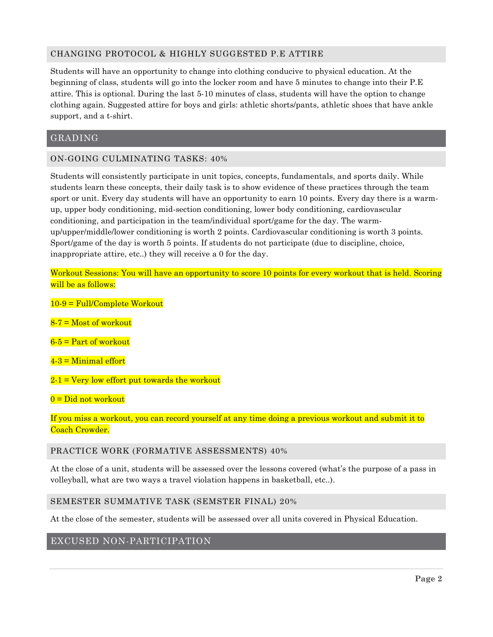## CHANGING PROTOCOL & HIGHLY SUGGESTED P.E ATTIRE

Students will have an opportunity to change into clothing conducive to physical education. At the beginning of class, students will go into the locker room and have 5 minutes to change into their P.E attire. This is optional. During the last 5-10 minutes of class, students will have the option to change clothing again. Suggested attire for boys and girls: athletic shorts/pants, athletic shoes that have ankle support, and a t-shirt.

## GRADING

#### ON-GOING CULMINATING TASKS: 40%

Students will consistently participate in unit topics, concepts, fundamentals, and sports daily. While students learn these concepts, their daily task is to show evidence of these practices through the team sport or unit. Every day students will have an opportunity to earn 10 points. Every day there is a warmup, upper body conditioning, mid-section conditioning, lower body conditioning, cardiovascular conditioning, and participation in the team/individual sport/game for the day. The warmup/upper/middle/lower conditioning is worth 2 points. Cardiovascular conditioning is worth 3 points. Sport/game of the day is worth 5 points. If students do not participate (due to discipline, choice, inappropriate attire, etc..) they will receive a 0 for the day.

Workout Sessions: You will have an opportunity to score 10 points for every workout that is held. Scoring will be as follows:

10-9 = Full/Complete Workout

 $8-7$  = Most of workout

 $6-5$  = Part of workout

 $4-3$  = Minimal effort

 $2-1$  = Very low effort put towards the workout

 $0 = Did$  not workout

If you miss a workout, you can record yourself at any time doing a previous workout and submit it to Coach Crowder.

PRACTICE WORK (FORMATIVE ASSESSMENTS) 40%

At the close of a unit, students will be assessed over the lessons covered (what's the purpose of a pass in volleyball, what are two ways a travel violation happens in basketball, etc..).

#### SEMESTER SUMMATIVE TASK (SEMSTER FINAL) 20%

At the close of the semester, students will be assessed over all units covered in Physical Education.

## EXCUSED NON-PARTICIPATION